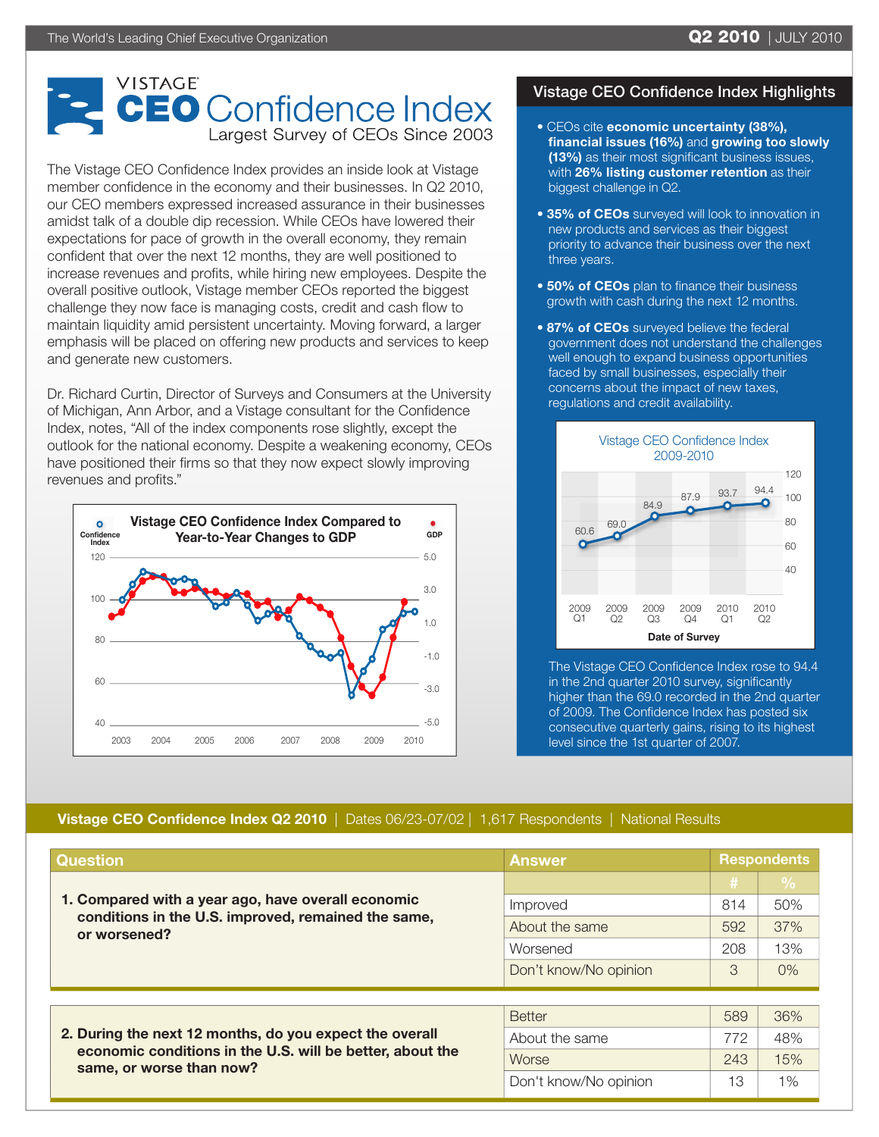## VISTAGE **CEO** Confidence Index Largest Survey of CEOs Since 2003

The Vistage CEO Confidence Index provides an inside look at Vistage member confidence in the economy and their businesses. In Q2 2010, our CEO members expressed increased assurance in their businesses amidst talk of a double dip recession. While CEOs have lowered their expectations for pace of growth in the overall economy, they remain confident that over the next 12 months, they are well positioned to increase revenues and profits, while hiring new employees. Despite the overall positive outlook, Vistage member CEOs reported the biggest challenge they now face is managing costs, credit and cash flow to maintain liquidity amid persistent uncertainty. Moving forward, a larger emphasis will be placed on offering new products and services to keep and generate new customers.

Dr. Richard Curtin, Director of Surveys and Consumers at the University of Michigan, Ann Arbor, and a Vistage consultant for the Confidence Index, notes, "All of the index components rose slightly, except the outlook for the national economy. Despite a weakening economy, CEOs have positioned their firms so that they now expect slowly improving revenues and profits."



## Vistage CEO Confidence Index Highlights

- CEOs cite economic uncertainty (38%), financial issues (16%) and growing too slowly (13%) as their most significant business issues, with 26% listing customer retention as their biggest challenge in Q2.
- 35% of CEOs surveyed will look to innovation in new products and services as their biggest priority to advance their business over the next three years.
- **. 50% of CEOs** plan to finance their business growth with cash during the next 12 months.
- 87% of CEOs surveyed believe the federal government does not understand the challenges well enough to expand business opportunities faced by small businesses, especially their concerns about the impact of new taxes, regulations and credit availability.



The Vistage CEO Confidence Index rose to 94.4 in the 2nd quarter 2010 survey, significantly higher than the 69.0 recorded in the 2nd quarter of 2009. The Confidence Index has posted six consecutive quarterly gains, rising to its highest level since the 1st quarter of 2007.

## Vistage CEO Confidence Index Q2 2010 | Dates 06/23-07/02 | 1,617 Respondents | National Results

| <b>Question</b>                                                                                                                                  | <b>Answer</b>         | <b>Respondents</b> |                                    |
|--------------------------------------------------------------------------------------------------------------------------------------------------|-----------------------|--------------------|------------------------------------|
| 1. Compared with a year ago, have overall economic<br>conditions in the U.S. improved, remained the same,<br>or worsened?                        |                       | #                  | $\overline{\mathsf{P}'\mathsf{o}}$ |
|                                                                                                                                                  | Improved              | 814                | 50%                                |
|                                                                                                                                                  | About the same        | 592                | 37%                                |
|                                                                                                                                                  | Worsened              | 208                | 13%                                |
|                                                                                                                                                  | Don't know/No opinion | 3                  | $0\%$                              |
|                                                                                                                                                  |                       |                    |                                    |
| 2. During the next 12 months, do you expect the overall<br>economic conditions in the U.S. will be better, about the<br>same, or worse than now? | <b>Better</b>         | 589                | 36%                                |
|                                                                                                                                                  | About the same        | 772                | 48%                                |
|                                                                                                                                                  | Worse                 | 243                | 15%                                |
|                                                                                                                                                  | Don't know/No opinion | 13                 | 1%                                 |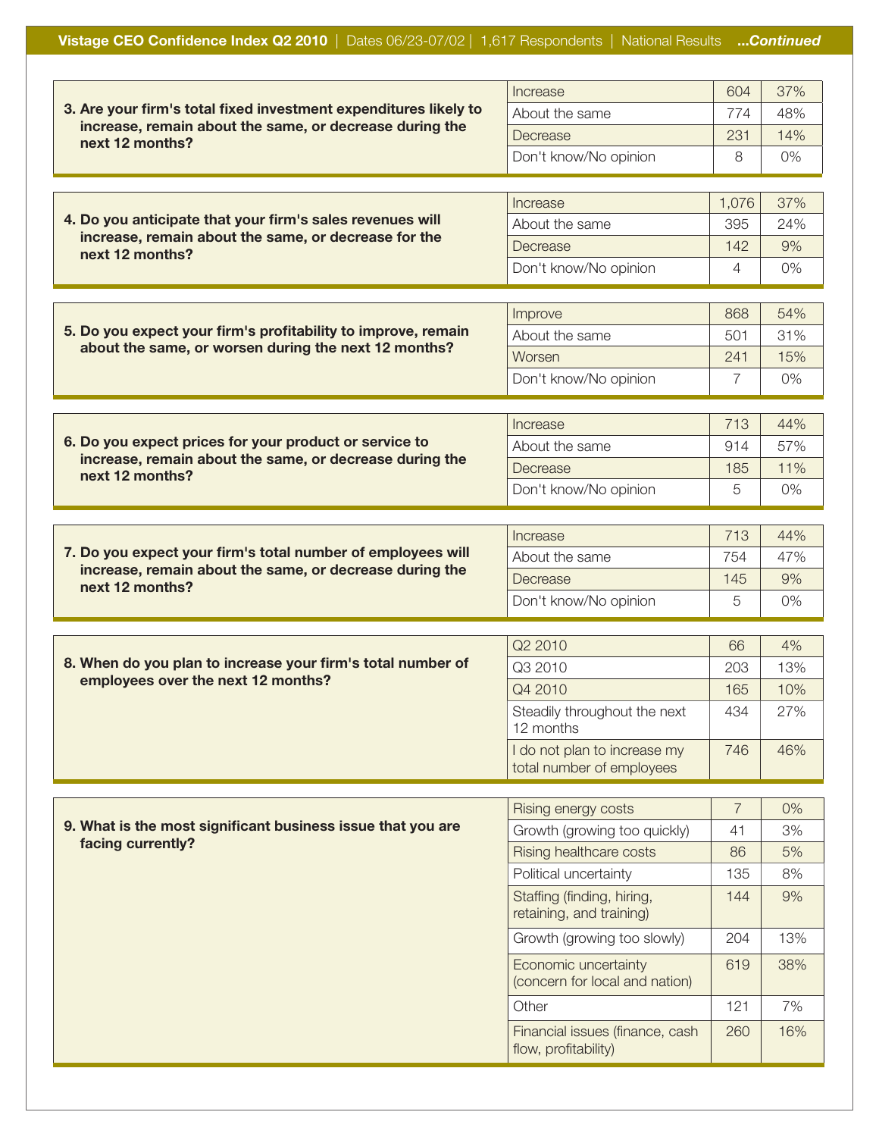## Vistage CEO Confidence Index Q2 2010 | Dates 06/23-07/02 | 1,617 Respondents | National Results ...Continued

|                                                                                                                                                | Increase                                                | 604            | 37% |
|------------------------------------------------------------------------------------------------------------------------------------------------|---------------------------------------------------------|----------------|-----|
| 3. Are your firm's total fixed investment expenditures likely to<br>increase, remain about the same, or decrease during the<br>next 12 months? | About the same                                          | 774            | 48% |
|                                                                                                                                                | Decrease                                                | 231            | 14% |
|                                                                                                                                                | Don't know/No opinion                                   | 8              | 0%  |
|                                                                                                                                                |                                                         |                |     |
|                                                                                                                                                | Increase                                                | 1,076          | 37% |
| 4. Do you anticipate that your firm's sales revenues will                                                                                      | About the same                                          | 395            | 24% |
| increase, remain about the same, or decrease for the<br>next 12 months?                                                                        | Decrease                                                | 142            | 9%  |
|                                                                                                                                                | Don't know/No opinion                                   | 4              | 0%  |
|                                                                                                                                                |                                                         |                |     |
|                                                                                                                                                | Improve                                                 | 868            | 54% |
| 5. Do you expect your firm's profitability to improve, remain                                                                                  | About the same                                          | 501            | 31% |
| about the same, or worsen during the next 12 months?                                                                                           | Worsen                                                  | 241            | 15% |
|                                                                                                                                                | Don't know/No opinion                                   | 7              | 0%  |
|                                                                                                                                                |                                                         |                |     |
|                                                                                                                                                | Increase                                                | 713            | 44% |
| 6. Do you expect prices for your product or service to                                                                                         | About the same                                          | 914            | 57% |
| increase, remain about the same, or decrease during the<br>next 12 months?                                                                     | Decrease                                                | 185            | 11% |
|                                                                                                                                                | Don't know/No opinion                                   | 5              | 0%  |
|                                                                                                                                                |                                                         |                |     |
|                                                                                                                                                | Increase                                                | 713            | 44% |
| 7. Do you expect your firm's total number of employees will<br>increase, remain about the same, or decrease during the                         | About the same                                          | 754            | 47% |
| next 12 months?                                                                                                                                | Decrease                                                | 145            | 9%  |
|                                                                                                                                                | Don't know/No opinion                                   | 5              | 0%  |
|                                                                                                                                                |                                                         |                |     |
| 8. When do you plan to increase your firm's total number of                                                                                    | Q2 2010                                                 | 66             | 4%  |
| employees over the next 12 months?                                                                                                             | Q3 2010                                                 | 203            | 13% |
|                                                                                                                                                | Q4 2010                                                 | 165            | 10% |
|                                                                                                                                                | Steadily throughout the next<br>12 months               | 434            | 27% |
|                                                                                                                                                | I do not plan to increase my                            | 746            | 46% |
|                                                                                                                                                | total number of employees                               |                |     |
|                                                                                                                                                | Rising energy costs                                     | $\overline{7}$ | 0%  |
| 9. What is the most significant business issue that you are                                                                                    | Growth (growing too quickly)                            | 41             | 3%  |
| facing currently?                                                                                                                              | Rising healthcare costs                                 | 86             | 5%  |
|                                                                                                                                                | Political uncertainty                                   | 135            | 8%  |
|                                                                                                                                                | Staffing (finding, hiring,                              | 144            | 9%  |
|                                                                                                                                                | retaining, and training)<br>Growth (growing too slowly) | 204            | 13% |
|                                                                                                                                                | Economic uncertainty<br>(concern for local and nation)  | 619            | 38% |
|                                                                                                                                                | Other                                                   | 121            | 7%  |
|                                                                                                                                                |                                                         |                |     |
|                                                                                                                                                | Financial issues (finance, cash<br>flow, profitability) | 260            | 16% |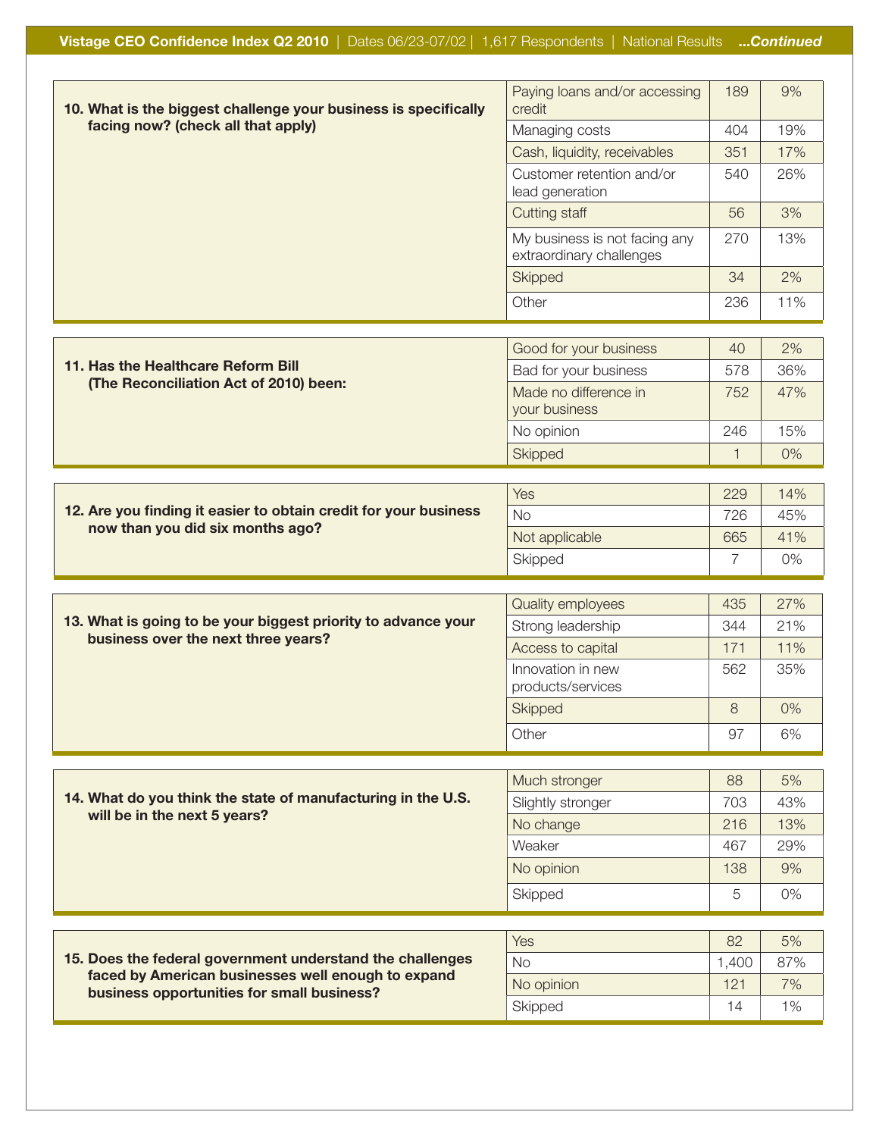| 10. What is the biggest challenge your business is specifically                                                                                               | Paying loans and/or accessing<br>credit                   | 189          | 9%        |
|---------------------------------------------------------------------------------------------------------------------------------------------------------------|-----------------------------------------------------------|--------------|-----------|
| facing now? (check all that apply)                                                                                                                            | Managing costs                                            | 404          | 19%       |
|                                                                                                                                                               | Cash, liquidity, receivables                              | 351          | 17%       |
|                                                                                                                                                               | Customer retention and/or<br>lead generation              | 540          | 26%       |
|                                                                                                                                                               | Cutting staff                                             | 56           | 3%        |
|                                                                                                                                                               | My business is not facing any<br>extraordinary challenges | 270          | 13%       |
|                                                                                                                                                               | Skipped                                                   | 34           | 2%        |
|                                                                                                                                                               | Other                                                     | 236          | 11%       |
|                                                                                                                                                               |                                                           |              |           |
|                                                                                                                                                               | Good for your business                                    | 40           | 2%        |
| 11. Has the Healthcare Reform Bill                                                                                                                            | Bad for your business                                     | 578          | 36%       |
| (The Reconciliation Act of 2010) been:                                                                                                                        | Made no difference in<br>your business                    | 752          | 47%       |
|                                                                                                                                                               | No opinion                                                | 246          | 15%       |
|                                                                                                                                                               | Skipped                                                   | $\mathbf{1}$ | 0%        |
|                                                                                                                                                               |                                                           |              |           |
| 12. Are you finding it easier to obtain credit for your business                                                                                              | Yes                                                       | 229          | 14%       |
| now than you did six months ago?                                                                                                                              | <b>No</b>                                                 | 726          | 45%       |
|                                                                                                                                                               | Not applicable<br>Skipped                                 | 665<br>7     | 41%<br>0% |
|                                                                                                                                                               |                                                           |              |           |
|                                                                                                                                                               | <b>Quality employees</b>                                  | 435          | 27%       |
| 13. What is going to be your biggest priority to advance your                                                                                                 | Strong leadership                                         | 344          | 21%       |
| business over the next three years?                                                                                                                           | Access to capital                                         | 171          | 11%       |
|                                                                                                                                                               | Innovation in new<br>products/services                    | 562          | 35%       |
|                                                                                                                                                               | Skipped                                                   | 8            | 0%        |
|                                                                                                                                                               | Other                                                     | 97           | 6%        |
|                                                                                                                                                               |                                                           |              |           |
|                                                                                                                                                               | Much stronger                                             | 88           | 5%        |
| 14. What do you think the state of manufacturing in the U.S.                                                                                                  | Slightly stronger                                         | 703          | 43%       |
| will be in the next 5 years?                                                                                                                                  | No change                                                 | 216          | 13%       |
|                                                                                                                                                               | Weaker                                                    | 467          | 29%       |
|                                                                                                                                                               | No opinion                                                | 138          | 9%        |
|                                                                                                                                                               | Skipped                                                   | 5            | 0%        |
|                                                                                                                                                               |                                                           |              |           |
| 15. Does the federal government understand the challenges<br>faced by American businesses well enough to expand<br>business opportunities for small business? | Yes                                                       | 82           | 5%        |
|                                                                                                                                                               | <b>No</b>                                                 | 1,400        | 87%       |
|                                                                                                                                                               | No opinion                                                | 121          | 7%        |
|                                                                                                                                                               | Skipped                                                   | 14           | 1%        |
|                                                                                                                                                               |                                                           |              |           |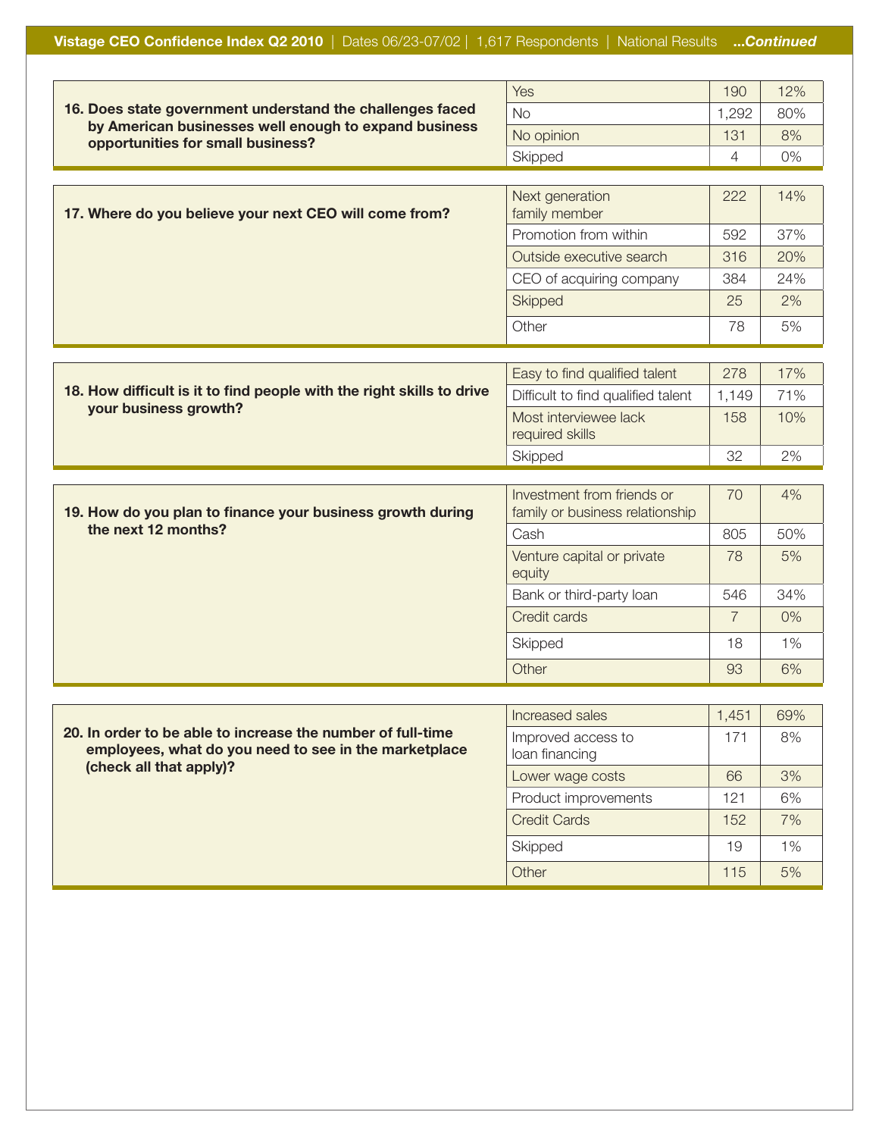|                                                                                                                                                         | Yes                                                           | 190            | 12% |
|---------------------------------------------------------------------------------------------------------------------------------------------------------|---------------------------------------------------------------|----------------|-----|
| 16. Does state government understand the challenges faced<br>by American businesses well enough to expand business<br>opportunities for small business? | <b>No</b>                                                     | 1,292          | 80% |
|                                                                                                                                                         | No opinion                                                    | 131            | 8%  |
|                                                                                                                                                         | Skipped                                                       | $\overline{4}$ | 0%  |
|                                                                                                                                                         |                                                               |                |     |
| 17. Where do you believe your next CEO will come from?                                                                                                  | Next generation<br>family member                              | 222            | 14% |
|                                                                                                                                                         | Promotion from within                                         | 592            | 37% |
|                                                                                                                                                         | Outside executive search                                      | 316            | 20% |
|                                                                                                                                                         | CEO of acquiring company                                      | 384            | 24% |
|                                                                                                                                                         | Skipped                                                       | 25             | 2%  |
|                                                                                                                                                         | Other                                                         | 78             | 5%  |
|                                                                                                                                                         |                                                               |                |     |
|                                                                                                                                                         | Easy to find qualified talent                                 | 278            | 17% |
| 18. How difficult is it to find people with the right skills to drive<br>your business growth?                                                          | Difficult to find qualified talent                            | 1,149          | 71% |
|                                                                                                                                                         | Most interviewee lack<br>required skills                      | 158            | 10% |
|                                                                                                                                                         | Skipped                                                       | 32             | 2%  |
|                                                                                                                                                         |                                                               |                |     |
| 19. How do you plan to finance your business growth during                                                                                              | Investment from friends or<br>family or business relationship | 70             | 4%  |
| the next 12 months?                                                                                                                                     | Cash                                                          | 805            | 50% |
|                                                                                                                                                         | Venture capital or private<br>equity                          | 78             | 5%  |
|                                                                                                                                                         | Bank or third-party loan                                      | 546            | 34% |
|                                                                                                                                                         | Credit cards                                                  | $\overline{7}$ | 0%  |
|                                                                                                                                                         | Skipped                                                       | 18             | 1%  |
|                                                                                                                                                         | Other                                                         | 93             | 6%  |
|                                                                                                                                                         |                                                               |                |     |
|                                                                                                                                                         | Increased sales                                               | 1,451          | 69% |
| 20. In order to be able to increase the number of full-time<br>employees, what do you need to see in the marketplace<br>(check all that apply)?         | Improved access to<br>loan financing                          | 171            | 8%  |
|                                                                                                                                                         | Lower wage costs                                              | 66             | 3%  |
|                                                                                                                                                         | Product improvements                                          | 121            | 6%  |
|                                                                                                                                                         | <b>Credit Cards</b>                                           | 152            | 7%  |

Skipped 19 1% Other 115 5%